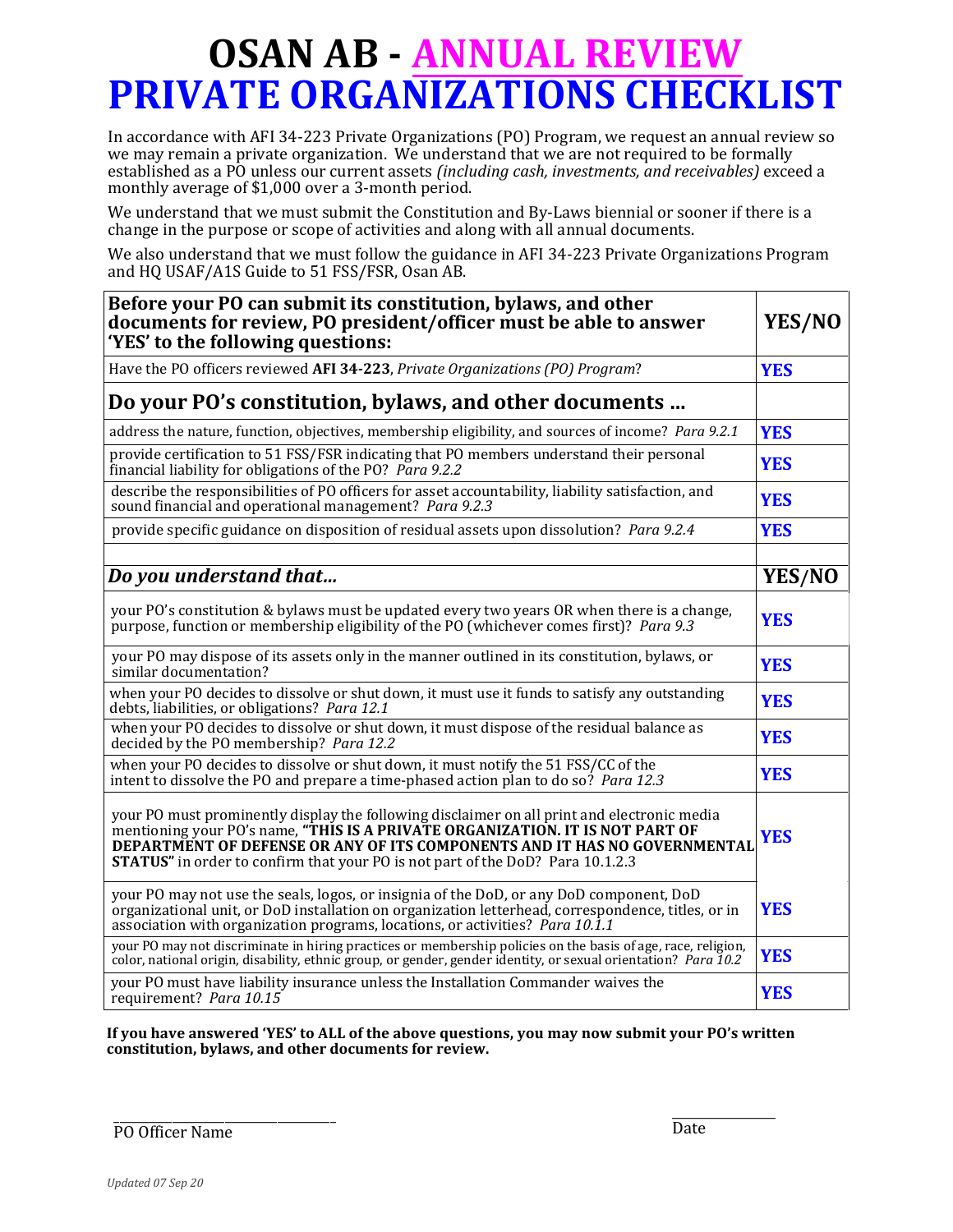## **OSAN AB - ANNUAL REVIEW PRIVATE ORGANIZATIONS CHECKLIST**

In accordance with AFI 34-223 Private Organizations (PO) Program, we request an annual review so we may remain a private organization. We understand that we are not required to be formally established as a PO unless our current assets *(including cash, investments, and receivables)* exceed a monthly average of \$1,000 over a 3-month period.

We understand that we must submit the Constitution and By-Laws biennial or sooner if there is a change in the purpose or scope of activities and along with all annual documents.

We also understand that we must follow the guidance in AFI 34-223 Private Organizations Program and HQ USAF/A1S Guide to 51 FSS/FSR, Osan AB.

| Before your PO can submit its constitution, bylaws, and other<br>documents for review, PO president/officer must be able to answer<br>'YES' to the following questions:                                                                                                                                                                            | YES/NO     |
|----------------------------------------------------------------------------------------------------------------------------------------------------------------------------------------------------------------------------------------------------------------------------------------------------------------------------------------------------|------------|
| Have the PO officers reviewed AFI 34-223, Private Organizations (PO) Program?                                                                                                                                                                                                                                                                      | <b>YES</b> |
| Do your PO's constitution, bylaws, and other documents                                                                                                                                                                                                                                                                                             |            |
| address the nature, function, objectives, membership eligibility, and sources of income? Para 9.2.1                                                                                                                                                                                                                                                | <b>YES</b> |
| provide certification to 51 FSS/FSR indicating that PO members understand their personal<br>financial liability for obligations of the PO? Para 9.2.2                                                                                                                                                                                              | <b>YES</b> |
| describe the responsibilities of PO officers for asset accountability, liability satisfaction, and<br>sound financial and operational management? Para 9.2.3                                                                                                                                                                                       | <b>YES</b> |
| provide specific guidance on disposition of residual assets upon dissolution? Para 9.2.4                                                                                                                                                                                                                                                           | <b>YES</b> |
| Do you understand that                                                                                                                                                                                                                                                                                                                             | YES/NO     |
| your PO's constitution & bylaws must be updated every two years OR when there is a change,<br>purpose, function or membership eligibility of the PO (whichever comes first)? Para 9.3                                                                                                                                                              | <b>YES</b> |
| your PO may dispose of its assets only in the manner outlined in its constitution, bylaws, or<br>similar documentation?                                                                                                                                                                                                                            | <b>YES</b> |
| when your PO decides to dissolve or shut down, it must use it funds to satisfy any outstanding<br>debts, liabilities, or obligations? Para 12.1                                                                                                                                                                                                    | <b>YES</b> |
| when your PO decides to dissolve or shut down, it must dispose of the residual balance as<br>decided by the PO membership? Para 12.2                                                                                                                                                                                                               | <b>YES</b> |
| when your PO decides to dissolve or shut down, it must notify the 51 FSS/CC of the<br>intent to dissolve the PO and prepare a time-phased action plan to do so? Para 12.3                                                                                                                                                                          | <b>YES</b> |
| your PO must prominently display the following disclaimer on all print and electronic media<br>mentioning your PO's name, "THIS IS A PRIVATE ORGANIZATION. IT IS NOT PART OF<br>DEPARTMENT OF DEFENSE OR ANY OF ITS COMPONENTS AND IT HAS NO GOVERNMENTAL<br><b>STATUS"</b> in order to confirm that your PO is not part of the DoD? Para 10.1.2.3 | <b>YES</b> |
| your PO may not use the seals, logos, or insignia of the DoD, or any DoD component, DoD<br>organizational unit, or DoD installation on organization letterhead, correspondence, titles, or in<br>association with organization programs, locations, or activities? Para 10.1.1                                                                     | <b>YES</b> |
| your PO may not discriminate in hiring practices or membership policies on the basis of age, race, religion,<br>color, national origin, disability, ethnic group, or gender, gender identity, or sexual orientation? Para 10.2                                                                                                                     | <b>YES</b> |
| your PO must have liability insurance unless the Installation Commander waives the<br>requirement? Para 10.15                                                                                                                                                                                                                                      | <b>YES</b> |

**If you have answered 'YES' to ALL of the above questions, you may now submit your PO's written constitution, bylaws, and other documents for review.**